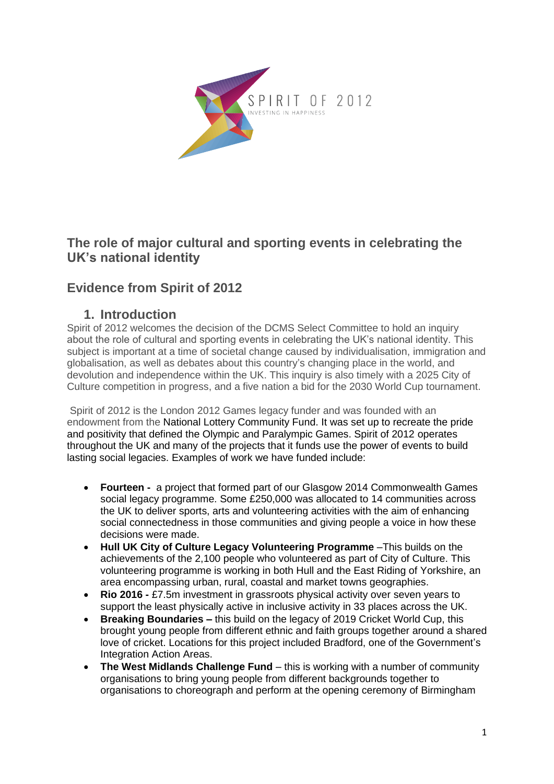

## **The role of major cultural and sporting events in celebrating the UK's national identity**

# **Evidence from Spirit of 2012**

### **1. Introduction**

Spirit of 2012 welcomes the decision of the DCMS Select Committee to hold an inquiry about the role of cultural and sporting events in celebrating the UK's national identity. This subject is important at a time of societal change caused by individualisation, immigration and globalisation, as well as debates about this country's changing place in the world, and devolution and independence within the UK. This inquiry is also timely with a 2025 City of Culture competition in progress, and a five nation a bid for the 2030 World Cup tournament.

Spirit of 2012 is the London 2012 Games legacy funder and was founded with an endowment from the National Lottery Community Fund. It was set up to recreate the pride and positivity that defined the Olympic and Paralympic Games. Spirit of 2012 operates throughout the UK and many of the projects that it funds use the power of events to build lasting social legacies. Examples of work we have funded include:

- **Fourteen -** a project that formed part of our Glasgow 2014 Commonwealth Games social legacy programme. Some £250,000 was allocated to 14 communities across the UK to deliver sports, arts and volunteering activities with the aim of enhancing social connectedness in those communities and giving people a voice in how these decisions were made.
- **Hull UK City of Culture Legacy Volunteering Programme** –This builds on the achievements of the 2,100 people who volunteered as part of City of Culture. This volunteering programme is working in both Hull and the East Riding of Yorkshire, an area encompassing urban, rural, coastal and market towns geographies.
- **Rio 2016 -** £7.5m investment in grassroots physical activity over seven years to support the least physically active in inclusive activity in 33 places across the UK.
- **Breaking Boundaries –** this build on the legacy of 2019 Cricket World Cup, this brought young people from different ethnic and faith groups together around a shared love of cricket. Locations for this project included Bradford, one of the Government's Integration Action Areas.
- **The West Midlands Challenge Fund** this is working with a number of community organisations to bring young people from different backgrounds together to organisations to choreograph and perform at the opening ceremony of Birmingham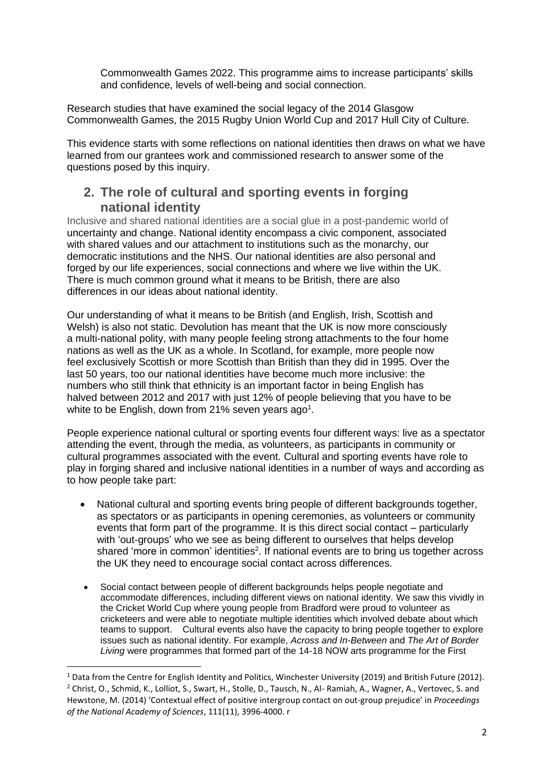Commonwealth Games 2022. This programme aims to increase participants' skills and confidence, levels of well-being and social connection.

Research studies that have examined the social legacy of the 2014 Glasgow Commonwealth Games, the 2015 Rugby Union World Cup and 2017 Hull City of Culture.

This evidence starts with some reflections on national identities then draws on what we have learned from our grantees work and commissioned research to answer some of the questions posed by this inquiry.

#### **2. The role of cultural and sporting events in forging national identity**

Inclusive and shared national identities are a social glue in a post-pandemic world of uncertainty and change. National identity encompass a civic component, associated with shared values and our attachment to institutions such as the monarchy, our democratic institutions and the NHS. Our national identities are also personal and forged by our life experiences, social connections and where we live within the UK. There is much common ground what it means to be British, there are also differences in our ideas about national identity.

Our understanding of what it means to be British (and English, Irish, Scottish and Welsh) is also not static. Devolution has meant that the UK is now more consciously a multi-national polity, with many people feeling strong attachments to the four home nations as well as the UK as a whole. In Scotland, for example, more people now feel exclusively Scottish or more Scottish than British than they did in 1995. Over the last 50 years, too our national identities have become much more inclusive: the numbers who still think that ethnicity is an important factor in being English has halved between 2012 and 2017 with just 12% of people believing that you have to be white to be English, down from 21% seven years ago<sup>1</sup>.

People experience national cultural or sporting events four different ways: live as a spectator attending the event, through the media, as volunteers, as participants in community or cultural programmes associated with the event. Cultural and sporting events have role to play in forging shared and inclusive national identities in a number of ways and according as to how people take part:

- National cultural and sporting events bring people of different backgrounds together, as spectators or as participants in opening ceremonies, as volunteers or community events that form part of the programme. It is this direct social contact – particularly with 'out-groups' who we see as being different to ourselves that helps develop shared 'more in common' identities<sup>2</sup>. If national events are to bring us together across the UK they need to encourage social contact across differences.
- Social contact between people of different backgrounds helps people negotiate and accommodate differences, including different views on national identity. We saw this vividly in the Cricket World Cup where young people from Bradford were proud to volunteer as cricketeers and were able to negotiate multiple identities which involved debate about which teams to support. Cultural events also have the capacity to bring people together to explore issues such as national identity. For example, *Across and In-Between* and *The Art of Border Living* were programmes that formed part of the 14-18 NOW arts programme for the First

<sup>&</sup>lt;sup>1</sup> Data from the Centre for English Identity and Politics, Winchester University (2019) and British Future (2012). <sup>2</sup> Christ, O., Schmid, K., Lolliot, S., Swart, H., Stolle, D., Tausch, N., Al- Ramiah, A., Wagner, A., Vertovec, S. and Hewstone, M. (2014) 'Contextual effect of positive intergroup contact on out-group prejudice' in *Proceedings of the National Academy of Sciences*, 111(11), 3996-4000. r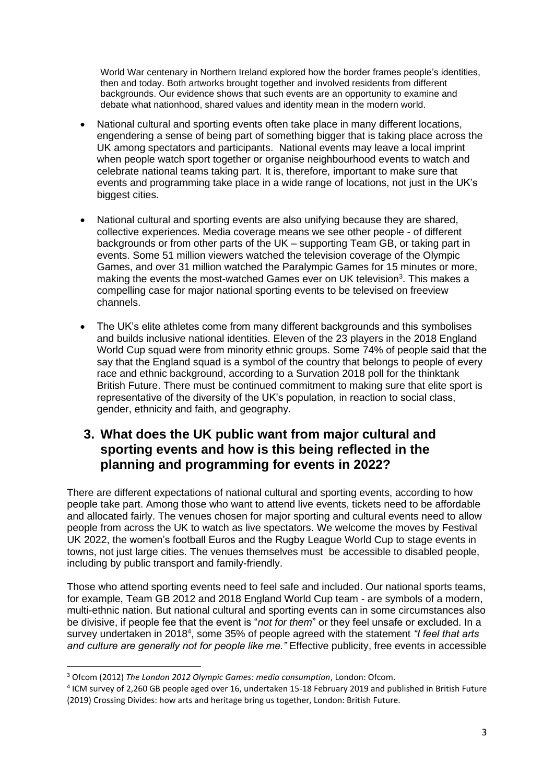World War centenary in Northern Ireland explored how the border frames people's identities, then and today. Both artworks brought together and involved residents from different backgrounds. Our evidence shows that such events are an opportunity to examine and debate what nationhood, shared values and identity mean in the modern world.

- National cultural and sporting events often take place in many different locations, engendering a sense of being part of something bigger that is taking place across the UK among spectators and participants. National events may leave a local imprint when people watch sport together or organise neighbourhood events to watch and celebrate national teams taking part. It is, therefore, important to make sure that events and programming take place in a wide range of locations, not just in the UK's biggest cities.
- National cultural and sporting events are also unifying because they are shared, collective experiences. Media coverage means we see other people - of different backgrounds or from other parts of the UK – supporting Team GB, or taking part in events. Some 51 million viewers watched the television coverage of the Olympic Games, and over 31 million watched the Paralympic Games for 15 minutes or more, making the events the most-watched Games ever on UK television<sup>3</sup>. This makes a compelling case for major national sporting events to be televised on freeview channels.
- The UK's elite athletes come from many different backgrounds and this symbolises and builds inclusive national identities. Eleven of the 23 players in the 2018 England World Cup squad were from minority ethnic groups. Some 74% of people said that the say that the England squad is a symbol of the country that belongs to people of every race and ethnic background, according to a Survation 2018 poll for the thinktank British Future. There must be continued commitment to making sure that elite sport is representative of the diversity of the UK's population, in reaction to social class, gender, ethnicity and faith, and geography.

## **3. What does the UK public want from major cultural and sporting events and how is this being reflected in the planning and programming for events in 2022?**

There are different expectations of national cultural and sporting events, according to how people take part. Among those who want to attend live events, tickets need to be affordable and allocated fairly. The venues chosen for major sporting and cultural events need to allow people from across the UK to watch as live spectators. We welcome the moves by Festival UK 2022, the women's football Euros and the Rugby League World Cup to stage events in towns, not just large cities. The venues themselves must be accessible to disabled people, including by public transport and family-friendly.

Those who attend sporting events need to feel safe and included. Our national sports teams, for example, Team GB 2012 and 2018 England World Cup team - are symbols of a modern, multi-ethnic nation. But national cultural and sporting events can in some circumstances also be divisive, if people fee that the event is "*not for them*" or they feel unsafe or excluded. In a survey undertaken in 2018<sup>4</sup>, some 35% of people agreed with the statement "I feel that arts *and culture are generally not for people like me."* Effective publicity, free events in accessible

<sup>3</sup> Ofcom (2012) *The London 2012 Olympic Games: media consumption*, London: Ofcom.

<sup>4</sup> ICM survey of 2,260 GB people aged over 16, undertaken 15-18 February 2019 and published in British Future (2019) Crossing Divides: how arts and heritage bring us together, London: British Future.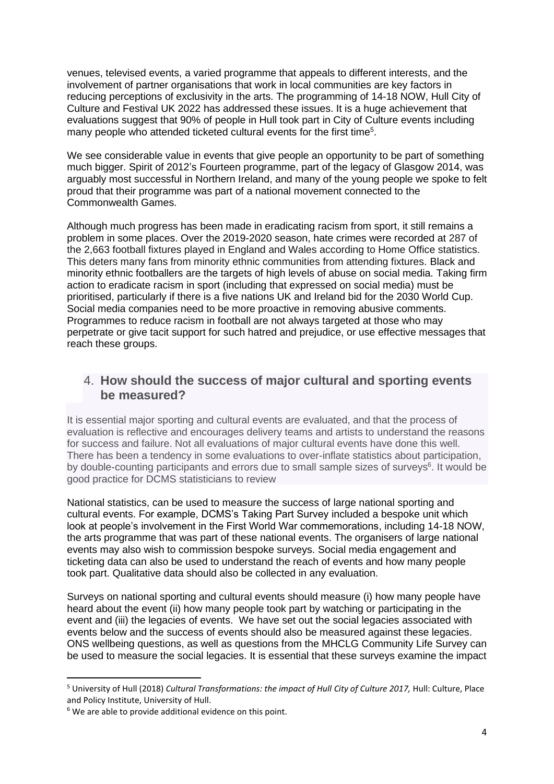venues, televised events, a varied programme that appeals to different interests, and the involvement of partner organisations that work in local communities are key factors in reducing perceptions of exclusivity in the arts. The programming of 14-18 NOW, Hull City of Culture and Festival UK 2022 has addressed these issues. It is a huge achievement that evaluations suggest that 90% of people in Hull took part in City of Culture events including many people who attended ticketed cultural events for the first time<sup>5</sup>.

We see considerable value in events that give people an opportunity to be part of something much bigger. Spirit of 2012's Fourteen programme, part of the legacy of Glasgow 2014, was arguably most successful in Northern Ireland, and many of the young people we spoke to felt proud that their programme was part of a national movement connected to the Commonwealth Games.

Although much progress has been made in eradicating racism from sport, it still remains a problem in some places. Over the 2019-2020 season, hate crimes were recorded at 287 of the 2,663 football fixtures played in England and Wales according to Home Office statistics. This deters many fans from minority ethnic communities from attending fixtures. Black and minority ethnic footballers are the targets of high levels of abuse on social media. Taking firm action to eradicate racism in sport (including that expressed on social media) must be prioritised, particularly if there is a five nations UK and Ireland bid for the 2030 World Cup. Social media companies need to be more proactive in removing abusive comments. Programmes to reduce racism in football are not always targeted at those who may perpetrate or give tacit support for such hatred and prejudice, or use effective messages that reach these groups.

#### 4. **How should the success of major cultural and sporting events be measured?**

It is essential major sporting and cultural events are evaluated, and that the process of evaluation is reflective and encourages delivery teams and artists to understand the reasons for success and failure. Not all evaluations of major cultural events have done this well. There has been a tendency in some evaluations to over-inflate statistics about participation, by double-counting participants and errors due to small sample sizes of surveys<sup>6</sup>. It would be good practice for DCMS statisticians to review

National statistics, can be used to measure the success of large national sporting and cultural events. For example, DCMS's Taking Part Survey included a bespoke unit which look at people's involvement in the First World War commemorations, including 14-18 NOW, the arts programme that was part of these national events. The organisers of large national events may also wish to commission bespoke surveys. Social media engagement and ticketing data can also be used to understand the reach of events and how many people took part. Qualitative data should also be collected in any evaluation.

Surveys on national sporting and cultural events should measure (i) how many people have heard about the event (ii) how many people took part by watching or participating in the event and (iii) the legacies of events. We have set out the social legacies associated with events below and the success of events should also be measured against these legacies. ONS wellbeing questions, as well as questions from the MHCLG Community Life Survey can be used to measure the social legacies. It is essential that these surveys examine the impact

<sup>5</sup> University of Hull (2018) *Cultural Transformations: the impact of Hull City of Culture 2017,* Hull: Culture, Place and Policy Institute, University of Hull.

 $6$  We are able to provide additional evidence on this point.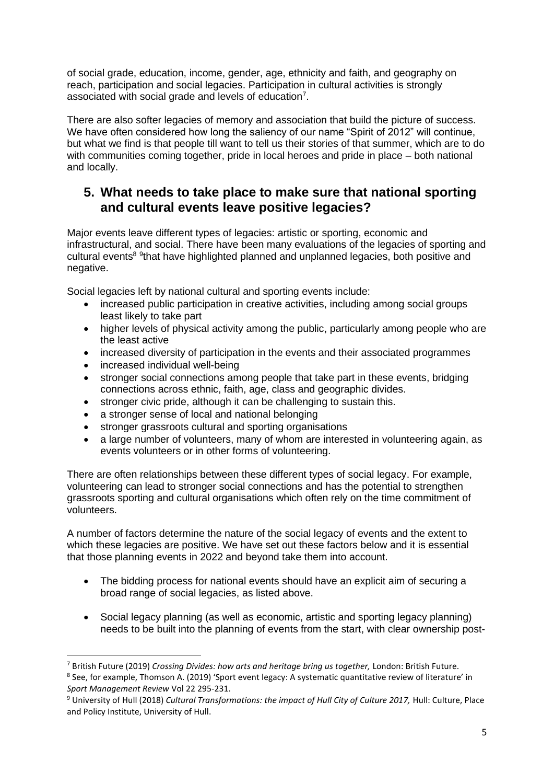of social grade, education, income, gender, age, ethnicity and faith, and geography on reach, participation and social legacies. Participation in cultural activities is strongly associated with social grade and levels of education<sup>7</sup>.

There are also softer legacies of memory and association that build the picture of success. We have often considered how long the saliency of our name "Spirit of 2012" will continue, but what we find is that people till want to tell us their stories of that summer, which are to do with communities coming together, pride in local heroes and pride in place – both national and locally.

### **5. What needs to take place to make sure that national sporting and cultural events leave positive legacies?**

Major events leave different types of legacies: artistic or sporting, economic and infrastructural, and social. There have been many evaluations of the legacies of sporting and cultural events<sup>8 9</sup>that have highlighted planned and unplanned legacies, both positive and negative.

Social legacies left by national cultural and sporting events include:

- increased public participation in creative activities, including among social groups least likely to take part
- higher levels of physical activity among the public, particularly among people who are the least active
- increased diversity of participation in the events and their associated programmes
- increased individual well-being
- stronger social connections among people that take part in these events, bridging connections across ethnic, faith, age, class and geographic divides.
- stronger civic pride, although it can be challenging to sustain this.
- a stronger sense of local and national belonging
- stronger grassroots cultural and sporting organisations
- a large number of volunteers, many of whom are interested in volunteering again, as events volunteers or in other forms of volunteering.

There are often relationships between these different types of social legacy. For example, volunteering can lead to stronger social connections and has the potential to strengthen grassroots sporting and cultural organisations which often rely on the time commitment of volunteers.

A number of factors determine the nature of the social legacy of events and the extent to which these legacies are positive. We have set out these factors below and it is essential that those planning events in 2022 and beyond take them into account.

- The bidding process for national events should have an explicit aim of securing a broad range of social legacies, as listed above.
- Social legacy planning (as well as economic, artistic and sporting legacy planning) needs to be built into the planning of events from the start, with clear ownership post-

<sup>7</sup> British Future (2019) *Crossing Divides: how arts and heritage bring us together,* London: British Future. 8 See, for example, Thomson A. (2019) 'Sport event legacy: A systematic quantitative review of literature' in *Sport Management Review* Vol 22 295-231.

<sup>9</sup> University of Hull (2018) *Cultural Transformations: the impact of Hull City of Culture 2017,* Hull: Culture, Place and Policy Institute, University of Hull.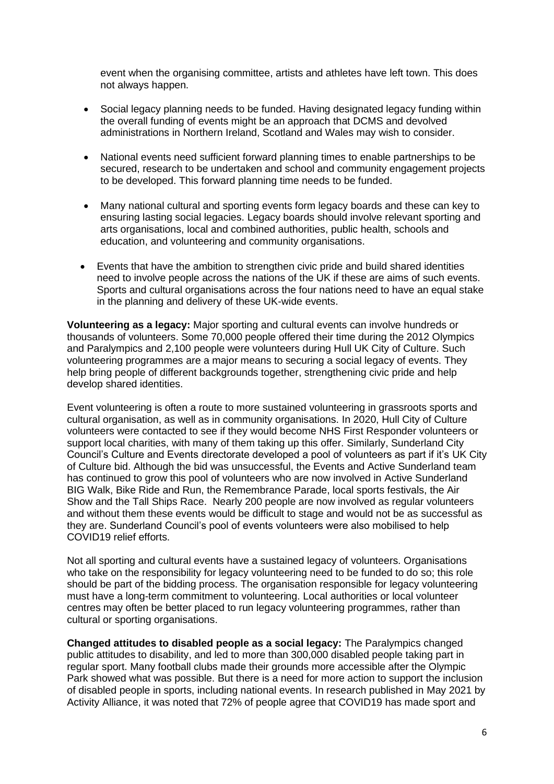event when the organising committee, artists and athletes have left town. This does not always happen.

- Social legacy planning needs to be funded. Having designated legacy funding within the overall funding of events might be an approach that DCMS and devolved administrations in Northern Ireland, Scotland and Wales may wish to consider.
- National events need sufficient forward planning times to enable partnerships to be secured, research to be undertaken and school and community engagement projects to be developed. This forward planning time needs to be funded.
- Many national cultural and sporting events form legacy boards and these can key to ensuring lasting social legacies. Legacy boards should involve relevant sporting and arts organisations, local and combined authorities, public health, schools and education, and volunteering and community organisations.
- Events that have the ambition to strengthen civic pride and build shared identities need to involve people across the nations of the UK if these are aims of such events. Sports and cultural organisations across the four nations need to have an equal stake in the planning and delivery of these UK-wide events.

**Volunteering as a legacy:** Major sporting and cultural events can involve hundreds or thousands of volunteers. Some 70,000 people offered their time during the 2012 Olympics and Paralympics and 2,100 people were volunteers during Hull UK City of Culture. Such volunteering programmes are a major means to securing a social legacy of events. They help bring people of different backgrounds together, strengthening civic pride and help develop shared identities.

Event volunteering is often a route to more sustained volunteering in grassroots sports and cultural organisation, as well as in community organisations. In 2020, Hull City of Culture volunteers were contacted to see if they would become NHS First Responder volunteers or support local charities, with many of them taking up this offer. Similarly, Sunderland City Council's Culture and Events directorate developed a pool of volunteers as part if it's UK City of Culture bid. Although the bid was unsuccessful, the Events and Active Sunderland team has continued to grow this pool of volunteers who are now involved in Active Sunderland BIG Walk, Bike Ride and Run, the Remembrance Parade, local sports festivals, the Air Show and the Tall Ships Race. Nearly 200 people are now involved as regular volunteers and without them these events would be difficult to stage and would not be as successful as they are. Sunderland Council's pool of events volunteers were also mobilised to help COVID19 relief efforts.

Not all sporting and cultural events have a sustained legacy of volunteers. Organisations who take on the responsibility for legacy volunteering need to be funded to do so; this role should be part of the bidding process. The organisation responsible for legacy volunteering must have a long-term commitment to volunteering. Local authorities or local volunteer centres may often be better placed to run legacy volunteering programmes, rather than cultural or sporting organisations.

**Changed attitudes to disabled people as a social legacy:** The Paralympics changed public attitudes to disability, and led to more than 300,000 disabled people taking part in regular sport. Many football clubs made their grounds more accessible after the Olympic Park showed what was possible. But there is a need for more action to support the inclusion of disabled people in sports, including national events. In research published in May 2021 by Activity Alliance, it was noted that 72% of people agree that COVID19 has made sport and